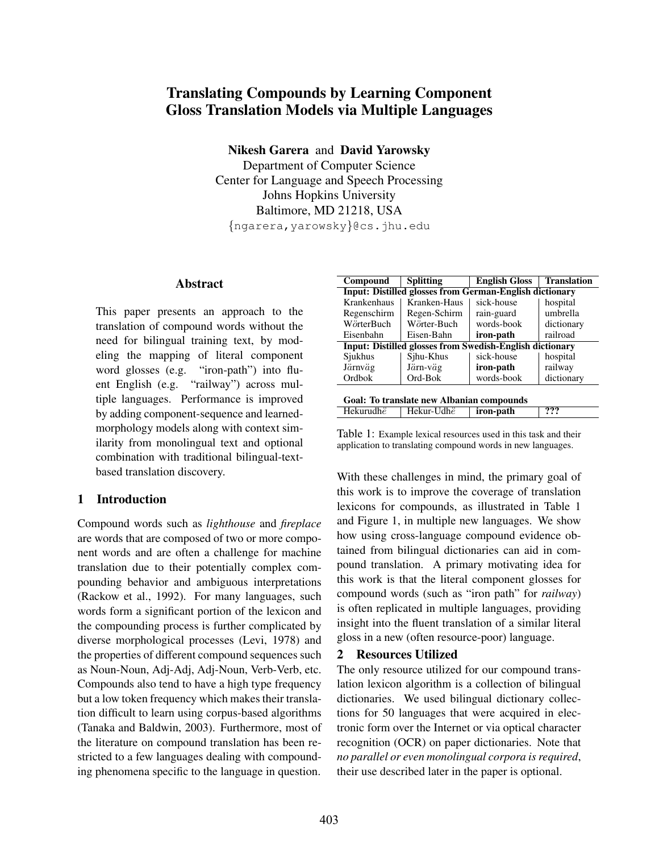# Translating Compounds by Learning Component Gloss Translation Models via Multiple Languages

Nikesh Garera and David Yarowsky

Department of Computer Science Center for Language and Speech Processing Johns Hopkins University Baltimore, MD 21218, USA {ngarera,yarowsky}@cs.jhu.edu

#### Abstract

This paper presents an approach to the translation of compound words without the need for bilingual training text, by modeling the mapping of literal component word glosses (e.g. "iron-path") into fluent English (e.g. "railway") across multiple languages. Performance is improved by adding component-sequence and learnedmorphology models along with context similarity from monolingual text and optional combination with traditional bilingual-textbased translation discovery.

# 1 Introduction

Compound words such as *lighthouse* and *fireplace* are words that are composed of two or more component words and are often a challenge for machine translation due to their potentially complex compounding behavior and ambiguous interpretations (Rackow et al., 1992). For many languages, such words form a significant portion of the lexicon and the compounding process is further complicated by diverse morphological processes (Levi, 1978) and the properties of different compound sequences such as Noun-Noun, Adj-Adj, Adj-Noun, Verb-Verb, etc. Compounds also tend to have a high type frequency but a low token frequency which makes their translation difficult to learn using corpus-based algorithms (Tanaka and Baldwin, 2003). Furthermore, most of the literature on compound translation has been restricted to a few languages dealing with compounding phenomena specific to the language in question.

| Compound                                                        | <b>Translation</b>                  |                        |            |  |  |  |
|-----------------------------------------------------------------|-------------------------------------|------------------------|------------|--|--|--|
| <b>Input: Distilled glosses from German-English dictionary</b>  |                                     |                        |            |  |  |  |
| Krankenhaus                                                     | Kranken-Haus                        | sick-house<br>hospital |            |  |  |  |
| Regenschirm                                                     | Regen-Schirm                        | rain-guard             | umbrella   |  |  |  |
| WörterBuch                                                      | Wörter-Buch                         | words-book             | dictionary |  |  |  |
| railroad<br>Eisenbahn<br>Eisen-Bahn<br>iron-path                |                                     |                        |            |  |  |  |
| <b>Input: Distilled glosses from Swedish-English dictionary</b> |                                     |                        |            |  |  |  |
| Sjukhus                                                         | Sjhu-Khus                           | sick-house             | hospital   |  |  |  |
| Järnväg                                                         | Järn-väg                            | iron-path              | railway    |  |  |  |
| Ordbok                                                          | Ord-Bok<br>words-book<br>dictionary |                        |            |  |  |  |
| Goal: To translate new Albanian compounds                       |                                     |                        |            |  |  |  |
| Hekurudhë                                                       | Hekur-Udhë                          | iron-path              | ???        |  |  |  |
|                                                                 |                                     |                        |            |  |  |  |

Table 1: Example lexical resources used in this task and their application to translating compound words in new languages.

With these challenges in mind, the primary goal of this work is to improve the coverage of translation lexicons for compounds, as illustrated in Table 1 and Figure 1, in multiple new languages. We show how using cross-language compound evidence obtained from bilingual dictionaries can aid in compound translation. A primary motivating idea for this work is that the literal component glosses for compound words (such as "iron path" for *railway*) is often replicated in multiple languages, providing insight into the fluent translation of a similar literal gloss in a new (often resource-poor) language.

# 2 Resources Utilized

The only resource utilized for our compound translation lexicon algorithm is a collection of bilingual dictionaries. We used bilingual dictionary collections for 50 languages that were acquired in electronic form over the Internet or via optical character recognition (OCR) on paper dictionaries. Note that *no parallel or even monolingual corpora is required*, their use described later in the paper is optional.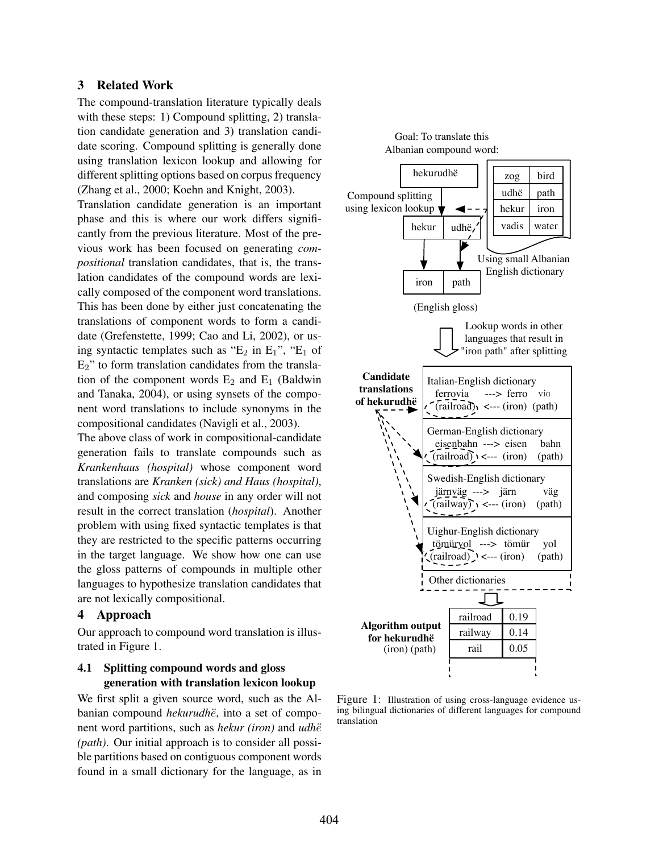#### 3 Related Work

The compound-translation literature typically deals with these steps: 1) Compound splitting, 2) translation candidate generation and 3) translation candidate scoring. Compound splitting is generally done using translation lexicon lookup and allowing for different splitting options based on corpus frequency (Zhang et al., 2000; Koehn and Knight, 2003).

Translation candidate generation is an important phase and this is where our work differs significantly from the previous literature. Most of the previous work has been focused on generating *compositional* translation candidates, that is, the translation candidates of the compound words are lexically composed of the component word translations. This has been done by either just concatenating the translations of component words to form a candidate (Grefenstette, 1999; Cao and Li, 2002), or using syntactic templates such as " $E_2$  in  $E_1$ ", " $E_1$  of E2" to form translation candidates from the translation of the component words  $E_2$  and  $E_1$  (Baldwin and Tanaka, 2004), or using synsets of the component word translations to include synonyms in the compositional candidates (Navigli et al., 2003).

The above class of work in compositional-candidate generation fails to translate compounds such as *Krankenhaus (hospital)* whose component word translations are *Kranken (sick) and Haus (hospital)*, and composing *sick* and *house* in any order will not result in the correct translation (*hospital*). Another problem with using fixed syntactic templates is that they are restricted to the specific patterns occurring in the target language. We show how one can use the gloss patterns of compounds in multiple other languages to hypothesize translation candidates that are not lexically compositional.

#### 4 Approach

Our approach to compound word translation is illustrated in Figure 1.

### 4.1 Splitting compound words and gloss generation with translation lexicon lookup

We first split a given source word, such as the Albanian compound *hekurudhe*, into a set of component word partitions, such as *hekur (iron)* and *udhë (path)*. Our initial approach is to consider all possible partitions based on contiguous component words found in a small dictionary for the language, as in



Figure 1: Illustration of using cross-language evidence using bilingual dictionaries of different languages for compound translation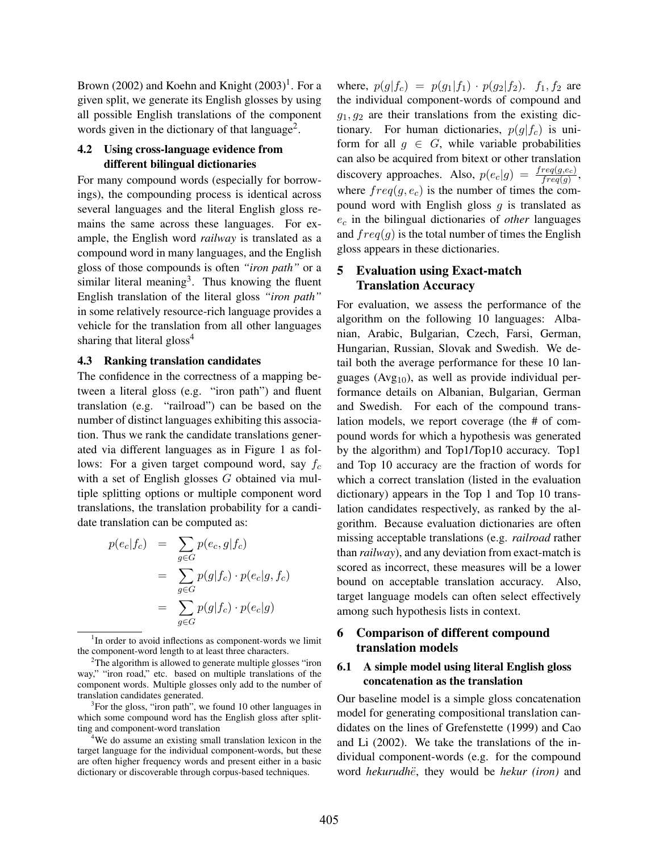Brown (2002) and Koehn and Knight  $(2003)^1$ . For a given split, we generate its English glosses by using all possible English translations of the component words given in the dictionary of that language<sup>2</sup>.

### 4.2 Using cross-language evidence from different bilingual dictionaries

For many compound words (especially for borrowings), the compounding process is identical across several languages and the literal English gloss remains the same across these languages. For example, the English word *railway* is translated as a compound word in many languages, and the English gloss of those compounds is often *"iron path"* or a similar literal meaning<sup>3</sup>. Thus knowing the fluent English translation of the literal gloss *"iron path"* in some relatively resource-rich language provides a vehicle for the translation from all other languages sharing that literal gloss<sup>4</sup>

#### 4.3 Ranking translation candidates

The confidence in the correctness of a mapping between a literal gloss (e.g. "iron path") and fluent translation (e.g. "railroad") can be based on the number of distinct languages exhibiting this association. Thus we rank the candidate translations generated via different languages as in Figure 1 as follows: For a given target compound word, say  $f_c$ with a set of English glosses G obtained via multiple splitting options or multiple component word translations, the translation probability for a candidate translation can be computed as:

$$
p(e_c|f_c) = \sum_{g \in G} p(e_c, g|f_c)
$$
  
= 
$$
\sum_{g \in G} p(g|f_c) \cdot p(e_c|g, f_c)
$$
  
= 
$$
\sum_{g \in G} p(g|f_c) \cdot p(e_c|g)
$$

<sup>4</sup>We do assume an existing small translation lexicon in the target language for the individual component-words, but these are often higher frequency words and present either in a basic dictionary or discoverable through corpus-based techniques.

where,  $p(g|f_c) = p(g_1|f_1) \cdot p(g_2|f_2)$ .  $f_1, f_2$  are the individual component-words of compound and  $g_1, g_2$  are their translations from the existing dictionary. For human dictionaries,  $p(g|f_c)$  is uniform for all  $q \in G$ , while variable probabilities can also be acquired from bitext or other translation discovery approaches. Also,  $p(e_c|g) = \frac{freq(g,e_c)}{freq(g)}$ , where  $freq(g, e_c)$  is the number of times the compound word with English gloss  $g$  is translated as  $e_c$  in the bilingual dictionaries of *other* languages and  $freq(g)$  is the total number of times the English gloss appears in these dictionaries.

# 5 Evaluation using Exact-match Translation Accuracy

For evaluation, we assess the performance of the algorithm on the following 10 languages: Albanian, Arabic, Bulgarian, Czech, Farsi, German, Hungarian, Russian, Slovak and Swedish. We detail both the average performance for these 10 languages ( $Avg_{10}$ ), as well as provide individual performance details on Albanian, Bulgarian, German and Swedish. For each of the compound translation models, we report coverage (the # of compound words for which a hypothesis was generated by the algorithm) and Top1/Top10 accuracy. Top1 and Top 10 accuracy are the fraction of words for which a correct translation (listed in the evaluation dictionary) appears in the Top 1 and Top 10 translation candidates respectively, as ranked by the algorithm. Because evaluation dictionaries are often missing acceptable translations (e.g. *railroad* rather than *railway*), and any deviation from exact-match is scored as incorrect, these measures will be a lower bound on acceptable translation accuracy. Also, target language models can often select effectively among such hypothesis lists in context.

### 6 Comparison of different compound translation models

### 6.1 A simple model using literal English gloss concatenation as the translation

Our baseline model is a simple gloss concatenation model for generating compositional translation candidates on the lines of Grefenstette (1999) and Cao and Li (2002). We take the translations of the individual component-words (e.g. for the compound word *hekurudhë*, they would be *hekur (iron)* and

<sup>&</sup>lt;sup>1</sup>In order to avoid inflections as component-words we limit the component-word length to at least three characters.

<sup>&</sup>lt;sup>2</sup>The algorithm is allowed to generate multiple glosses "iron" way," "iron road," etc. based on multiple translations of the component words. Multiple glosses only add to the number of translation candidates generated.

<sup>&</sup>lt;sup>3</sup>For the gloss, "iron path", we found 10 other languages in which some compound word has the English gloss after splitting and component-word translation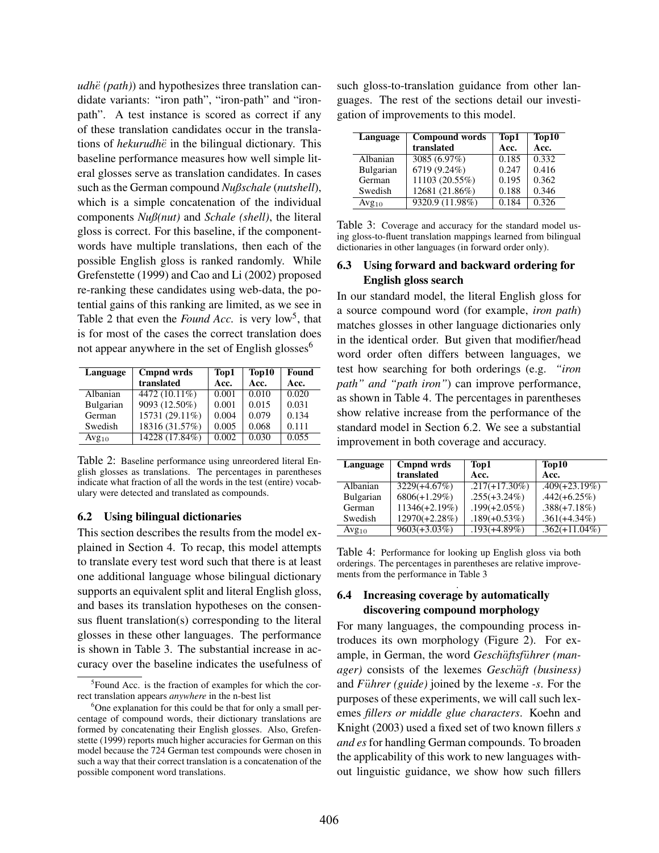*udhë* (*path*)) and hypothesizes three translation candidate variants: "iron path", "iron-path" and "ironpath". A test instance is scored as correct if any of these translation candidates occur in the translations of *hekurudh*e in the bilingual dictionary. This baseline performance measures how well simple literal glosses serve as translation candidates. In cases such as the German compound *Nußschale* (*nutshell*), which is a simple concatenation of the individual components *Nuß(nut)* and *Schale (shell)*, the literal gloss is correct. For this baseline, if the componentwords have multiple translations, then each of the possible English gloss is ranked randomly. While Grefenstette (1999) and Cao and Li (2002) proposed re-ranking these candidates using web-data, the potential gains of this ranking are limited, as we see in Table 2 that even the *Found Acc*. is very  $low^5$ , that is for most of the cases the correct translation does not appear anywhere in the set of English glosses $<sup>6</sup>$ </sup>

| Language   | Cmpnd wrds     | Top1  | Top10 | Found |
|------------|----------------|-------|-------|-------|
|            | translated     | Acc.  | Acc.  | Acc.  |
| Albanian   | 4472 (10.11%)  | 0.001 | 0.010 | 0.020 |
| Bulgarian  | 9093 (12.50%)  | 0.001 | 0.015 | 0.031 |
| German     | 15731 (29.11%) | 0.004 | 0.079 | 0.134 |
| Swedish    | 18316 (31.57%) | 0.005 | 0.068 | 0.111 |
| $Avg_{10}$ | 14228 (17.84%) | 0.002 | 0.030 | 0.055 |

Table 2: Baseline performance using unreordered literal English glosses as translations. The percentages in parentheses indicate what fraction of all the words in the test (entire) vocabulary were detected and translated as compounds.

#### 6.2 Using bilingual dictionaries

This section describes the results from the model explained in Section 4. To recap, this model attempts to translate every test word such that there is at least one additional language whose bilingual dictionary supports an equivalent split and literal English gloss, and bases its translation hypotheses on the consensus fluent translation(s) corresponding to the literal glosses in these other languages. The performance is shown in Table 3. The substantial increase in accuracy over the baseline indicates the usefulness of such gloss-to-translation guidance from other languages. The rest of the sections detail our investigation of improvements to this model.

| Language   | <b>Compound words</b> | Top1  | Top10          |
|------------|-----------------------|-------|----------------|
|            | translated            | Acc.  | Acc.           |
| Albanian   | 3085 (6.97%)          | 0.185 | 0.332          |
| Bulgarian  | 6719 (9.24%)          | 0.247 | 0.416          |
| German     | 11103 (20.55%)        | 0.195 | 0.362          |
| Swedish    | 12681 (21.86%)        | 0.188 | 0.346          |
| $Avg_{10}$ | 9320.9 (11.98%)       | 0.184 | $\sqrt{0.326}$ |

Table 3: Coverage and accuracy for the standard model using gloss-to-fluent translation mappings learned from bilingual dictionaries in other languages (in forward order only).

### 6.3 Using forward and backward ordering for English gloss search

In our standard model, the literal English gloss for a source compound word (for example, *iron path*) matches glosses in other language dictionaries only in the identical order. But given that modifier/head word order often differs between languages, we test how searching for both orderings (e.g. *"iron path" and "path iron"*) can improve performance, as shown in Table 4. The percentages in parentheses show relative increase from the performance of the standard model in Section 6.2. We see a substantial improvement in both coverage and accuracy.

| Language         | Cmpnd wrds       | Top1             | Top10            |  |
|------------------|------------------|------------------|------------------|--|
|                  | translated       | Acc.             | Acc.             |  |
| Albanian         | $3229(+4.67%)$   | $.217(+17.30\%)$ | $.409(+23.19%)$  |  |
| <b>Bulgarian</b> | $6806(+1.29\%)$  | $.255(+3.24\%)$  | $.442(+6.25\%)$  |  |
| German           | $11346(+2.19%)$  | $.199(+2.05\%)$  | $.388(+7.18%)$   |  |
| Swedish          | $12970(+2.28\%)$ | $.189(+0.53%)$   | $.361(+4.34\%)$  |  |
| $Avg_{10}$       | $9603(+3.03\%)$  | $.193(+4.89\%)$  | $.362(+11.04\%)$ |  |

Table 4: Performance for looking up English gloss via both orderings. The percentages in parentheses are relative improvements from the performance in Table 3

#### . 6.4 Increasing coverage by automatically discovering compound morphology

For many languages, the compounding process introduces its own morphology (Figure 2). For example, in German, the word *Geschäftsführer (manager*) consists of the lexemes *Geschäft (business)* and *Führer (guide)* joined by the lexeme *-s*. For the purposes of these experiments, we will call such lexemes *fillers or middle glue characters*. Koehn and Knight (2003) used a fixed set of two known fillers *s and es* for handling German compounds. To broaden the applicability of this work to new languages without linguistic guidance, we show how such fillers

<sup>&</sup>lt;sup>5</sup> Found Acc. is the fraction of examples for which the correct translation appears *anywhere* in the n-best list

 $6^{\circ}$ One explanation for this could be that for only a small percentage of compound words, their dictionary translations are formed by concatenating their English glosses. Also, Grefenstette (1999) reports much higher accuracies for German on this model because the 724 German test compounds were chosen in such a way that their correct translation is a concatenation of the possible component word translations.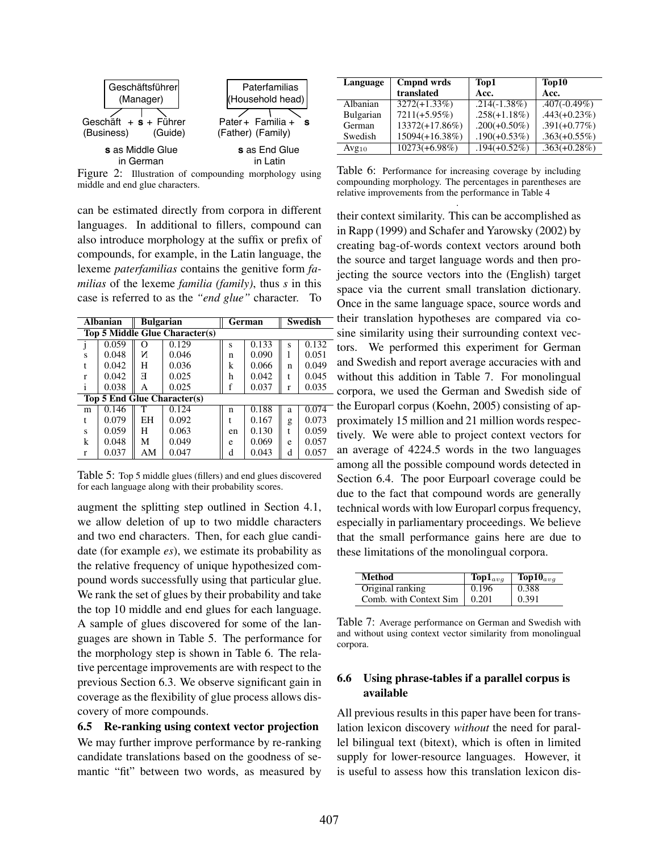

Figure 2: Illustration of compounding morphology using middle and end glue characters.

can be estimated directly from corpora in different languages. In additional to fillers, compound can also introduce morphology at the suffix or prefix of compounds, for example, in the Latin language, the lexeme *paterfamilias* contains the genitive form *familias* of the lexeme *familia (family)*, thus *s* in this case is referred to as the *"end glue"* character. To

| <b>Albanian</b><br><b>Bulgarian</b> |                                       |    |                             | German |       | <b>Swedish</b> |       |
|-------------------------------------|---------------------------------------|----|-----------------------------|--------|-------|----------------|-------|
|                                     | <b>Top 5 Middle Glue Character(s)</b> |    |                             |        |       |                |       |
|                                     | 0.059                                 | O  | 0.129                       | S      | 0.133 | S              | 0.132 |
| S                                   | 0.048                                 | И  | 0.046                       | n      | 0.090 |                | 0.051 |
| t                                   | 0.042                                 | н  | 0.036                       | k      | 0.066 | n              | 0.049 |
| r                                   | 0.042                                 | Я  | 0.025                       | h      | 0.042 |                | 0.045 |
|                                     | 0.038                                 | A  | 0.025                       |        | 0.037 | r              | 0.035 |
|                                     |                                       |    | Top 5 End Glue Character(s) |        |       |                |       |
| m                                   | 0.146                                 |    | 0.124                       | n      | 0.188 | a              | 0.074 |
| t                                   | 0.079                                 | EH | 0.092                       |        | 0.167 | g              | 0.073 |
| s                                   | 0.059                                 | H  | 0.063                       | en     | 0.130 | t              | 0.059 |
| k                                   | 0.048                                 | М  | 0.049                       | e      | 0.069 | e              | 0.057 |
| r                                   | 0.037                                 | AM | 0.047                       | d      | 0.043 | d              | 0.057 |

Table 5: Top 5 middle glues (fillers) and end glues discovered for each language along with their probability scores.

augment the splitting step outlined in Section 4.1, we allow deletion of up to two middle characters and two end characters. Then, for each glue candidate (for example *es*), we estimate its probability as the relative frequency of unique hypothesized compound words successfully using that particular glue. We rank the set of glues by their probability and take the top 10 middle and end glues for each language. A sample of glues discovered for some of the languages are shown in Table 5. The performance for the morphology step is shown in Table 6. The relative percentage improvements are with respect to the previous Section 6.3. We observe significant gain in coverage as the flexibility of glue process allows discovery of more compounds.

6.5 Re-ranking using context vector projection We may further improve performance by re-ranking candidate translations based on the goodness of semantic "fit" between two words, as measured by

| Language   | Cmpnd wrds        | Top1            | Top10           |  |
|------------|-------------------|-----------------|-----------------|--|
|            | translated        | Acc.            | Acc.            |  |
| Albanian   | $3272(+1.33\%)$   | $.214(-1.38\%)$ | $.407(-0.49\%)$ |  |
| Bulgarian  | $7211(+5.95\%)$   | $.258(+1.18%)$  | $.443(+0.23\%)$ |  |
| German     | $13372(+17.86\%)$ | $.200(+0.50\%)$ | $.391(+0.77\%)$ |  |
| Swedish    | 15094(+16.38%)    | $.190(+0.53%)$  | $.363(+0.55\%)$ |  |
| $Avg_{10}$ | $10273(+6.98\%)$  | $.194(+0.52\%)$ | $.363(+0.28\%)$ |  |

Table 6: Performance for increasing coverage by including compounding morphology. The percentages in parentheses are relative improvements from the performance in Table 4

. their context similarity. This can be accomplished as in Rapp (1999) and Schafer and Yarowsky (2002) by creating bag-of-words context vectors around both the source and target language words and then projecting the source vectors into the (English) target space via the current small translation dictionary. Once in the same language space, source words and their translation hypotheses are compared via cosine similarity using their surrounding context vectors. We performed this experiment for German and Swedish and report average accuracies with and without this addition in Table 7. For monolingual corpora, we used the German and Swedish side of the Europarl corpus (Koehn, 2005) consisting of approximately 15 million and 21 million words respectively. We were able to project context vectors for an average of 4224.5 words in the two languages among all the possible compound words detected in Section 6.4. The poor Eurpoarl coverage could be due to the fact that compound words are generally technical words with low Europarl corpus frequency, especially in parliamentary proceedings. We believe that the small performance gains here are due to these limitations of the monolingual corpora.

| Method                 | $\text{Top1}_{\text{avg}}$ | $\text{Top10}_{ava}$ |
|------------------------|----------------------------|----------------------|
| Original ranking       | 0.196                      | 0.388                |
| Comb. with Context Sim | 0.201                      | 0.391                |

Table 7: Average performance on German and Swedish with and without using context vector similarity from monolingual corpora.

### 6.6 Using phrase-tables if a parallel corpus is available

All previous results in this paper have been for translation lexicon discovery *without* the need for parallel bilingual text (bitext), which is often in limited supply for lower-resource languages. However, it is useful to assess how this translation lexicon dis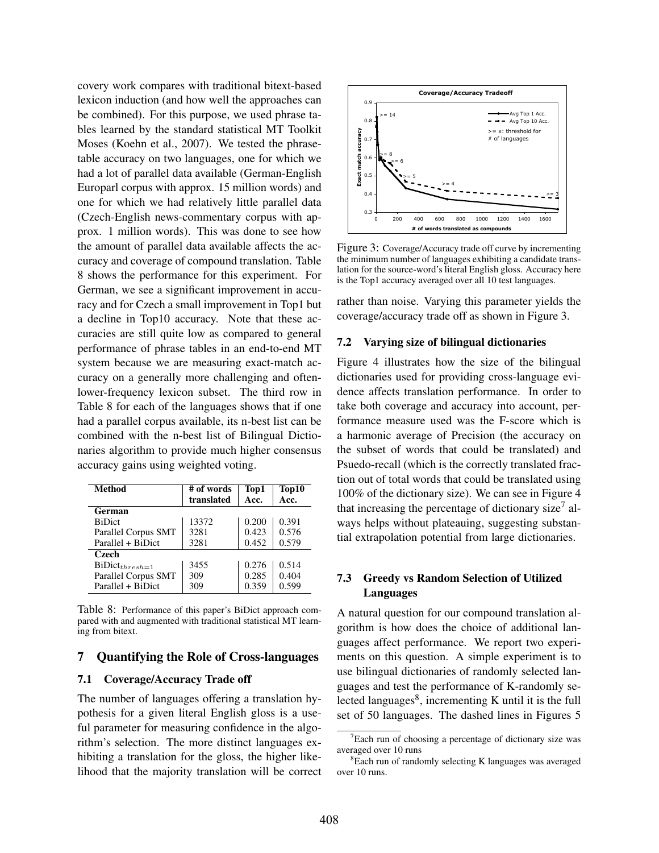covery work compares with traditional bitext-based lexicon induction (and how well the approaches can be combined). For this purpose, we used phrase tables learned by the standard statistical MT Toolkit Moses (Koehn et al., 2007). We tested the phrasetable accuracy on two languages, one for which we had a lot of parallel data available (German-English Europarl corpus with approx. 15 million words) and one for which we had relatively little parallel data (Czech-English news-commentary corpus with approx. 1 million words). This was done to see how the amount of parallel data available affects the accuracy and coverage of compound translation. Table 8 shows the performance for this experiment. For German, we see a significant improvement in accuracy and for Czech a small improvement in Top1 but a decline in Top10 accuracy. Note that these accuracies are still quite low as compared to general performance of phrase tables in an end-to-end MT system because we are measuring exact-match accuracy on a generally more challenging and oftenlower-frequency lexicon subset. The third row in Table 8 for each of the languages shows that if one had a parallel corpus available, its n-best list can be combined with the n-best list of Bilingual Dictionaries algorithm to provide much higher consensus accuracy gains using weighted voting.

| <b>Method</b>       | # of words<br>translated | Top1<br>Acc. | Top10<br>Acc. |
|---------------------|--------------------------|--------------|---------------|
| German              |                          |              |               |
| <b>BiDict</b>       | 13372                    | 0.200        | 0.391         |
| Parallel Corpus SMT | 3281                     | 0.423        | 0.576         |
| Parallel + BiDict   | 3281                     | 0.452        | 0.579         |
| Czech               |                          |              |               |
| $BiDict_{thresh=1}$ | 3455                     | 0.276        | 0.514         |
| Parallel Corpus SMT | 309                      | 0.285        | 0.404         |
| Parallel + BiDict   | 309                      | 0.359        | 0.599         |

Table 8: Performance of this paper's BiDict approach compared with and augmented with traditional statistical MT learning from bitext.

#### 7 Quantifying the Role of Cross-languages

#### 7.1 Coverage/Accuracy Trade off

The number of languages offering a translation hypothesis for a given literal English gloss is a useful parameter for measuring confidence in the algorithm's selection. The more distinct languages exhibiting a translation for the gloss, the higher likelihood that the majority translation will be correct



Figure 3: Coverage/Accuracy trade off curve by incrementing the minimum number of languages exhibiting a candidate translation for the source-word's literal English gloss. Accuracy here is the Top1 accuracy averaged over all 10 test languages.

rather than noise. Varying this parameter yields the coverage/accuracy trade off as shown in Figure 3.

#### 7.2 Varying size of bilingual dictionaries

Figure 4 illustrates how the size of the bilingual dictionaries used for providing cross-language evidence affects translation performance. In order to take both coverage and accuracy into account, performance measure used was the F-score which is a harmonic average of Precision (the accuracy on the subset of words that could be translated) and Psuedo-recall (which is the correctly translated fraction out of total words that could be translated using 100% of the dictionary size). We can see in Figure 4 that increasing the percentage of dictionary size<sup>7</sup> always helps without plateauing, suggesting substantial extrapolation potential from large dictionaries.

### 7.3 Greedy vs Random Selection of Utilized Languages

A natural question for our compound translation algorithm is how does the choice of additional languages affect performance. We report two experiments on this question. A simple experiment is to use bilingual dictionaries of randomly selected languages and test the performance of K-randomly selected languages $8$ , incrementing K until it is the full set of 50 languages. The dashed lines in Figures 5

 $7$ Each run of choosing a percentage of dictionary size was averaged over 10 runs

<sup>&</sup>lt;sup>8</sup>Each run of randomly selecting K languages was averaged over 10 runs.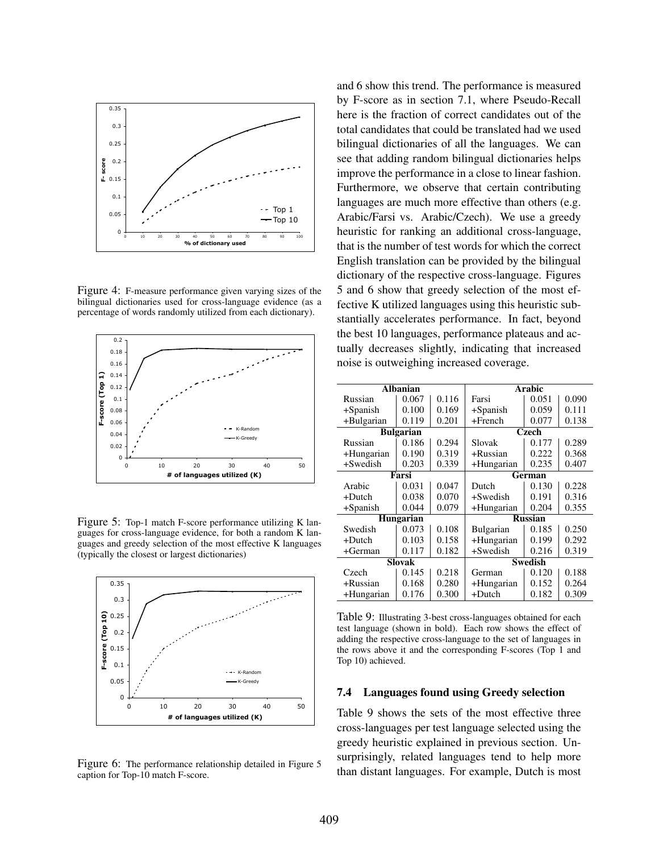

Figure 4: F-measure performance given varying sizes of the bilingual dictionaries used for cross-language evidence (as a percentage of words randomly utilized from each dictionary).



Figure 5: Top-1 match F-score performance utilizing K languages for cross-language evidence, for both a random K languages and greedy selection of the most effective K languages (typically the closest or largest dictionaries)



Figure 6: The performance relationship detailed in Figure 5 caption for Top-10 match F-score.

and 6 show this trend. The performance is measured by F-score as in section 7.1, where Pseudo-Recall here is the fraction of correct candidates out of the total candidates that could be translated had we used bilingual dictionaries of all the languages. We can see that adding random bilingual dictionaries helps improve the performance in a close to linear fashion. Furthermore, we observe that certain contributing languages are much more effective than others (e.g. Arabic/Farsi vs. Arabic/Czech). We use a greedy heuristic for ranking an additional cross-language, that is the number of test words for which the correct English translation can be provided by the bilingual dictionary of the respective cross-language. Figures 5 and 6 show that greedy selection of the most effective K utilized languages using this heuristic substantially accelerates performance. In fact, beyond the best 10 languages, performance plateaus and actually decreases slightly, indicating that increased noise is outweighing increased coverage.

| <b>Albanian</b> |                  |       | Arabic         |                |       |
|-----------------|------------------|-------|----------------|----------------|-------|
| Russian         | 0.067            | 0.116 | Farsi          | 0.051          | 0.090 |
| $+$ Spanish     | 0.100            | 0.169 | $+$ Spanish    | 0.059          | 0.111 |
| +Bulgarian      | 0.119            | 0.201 | $+$ French     | 0.077          | 0.138 |
|                 | <b>Bulgarian</b> |       |                | Czech          |       |
| Russian         | 0.186            | 0.294 | Slovak         | 0.177          | 0.289 |
| +Hungarian      | 0.190            | 0.319 | $+$ Russian    | 0.222          | 0.368 |
| +Swedish        | 0.203            | 0.339 | +Hungarian     | 0.235          | 0.407 |
|                 | Farsi            |       | German         |                |       |
| Arabic          | 0.031            | 0.047 | Dutch          | 0.130          | 0.228 |
| $+$ Dutch       | 0.038            | 0.070 | $+$ Swedish    | 0.191          | 0.316 |
| $+$ Spanish     | 0.044            | 0.079 | +Hungarian     | 0.355          |       |
|                 | Hungarian        |       |                | <b>Russian</b> |       |
| Swedish         | 0.073            | 0.108 | Bulgarian      | 0.185          | 0.250 |
| $+$ Dutch       | 0.103            | 0.158 | +Hungarian     | 0.199          | 0.292 |
| $+German$       | 0.117            | 0.182 | $+$ Swedish    | 0.216          | 0.319 |
|                 | Slovak           |       | <b>Swedish</b> |                |       |
| Czech           | 0.145            | 0.218 | German         | 0.120          | 0.188 |
| $+$ Russian     | 0.168            | 0.280 | +Hungarian     | 0.152          | 0.264 |
| +Hungarian      | 0.176            | 0.300 | $+$ Dutch      | 0.182          | 0.309 |

Table 9: Illustrating 3-best cross-languages obtained for each test language (shown in bold). Each row shows the effect of adding the respective cross-language to the set of languages in the rows above it and the corresponding F-scores (Top 1 and Top 10) achieved.

#### 7.4 Languages found using Greedy selection

Table 9 shows the sets of the most effective three cross-languages per test language selected using the greedy heuristic explained in previous section. Unsurprisingly, related languages tend to help more than distant languages. For example, Dutch is most